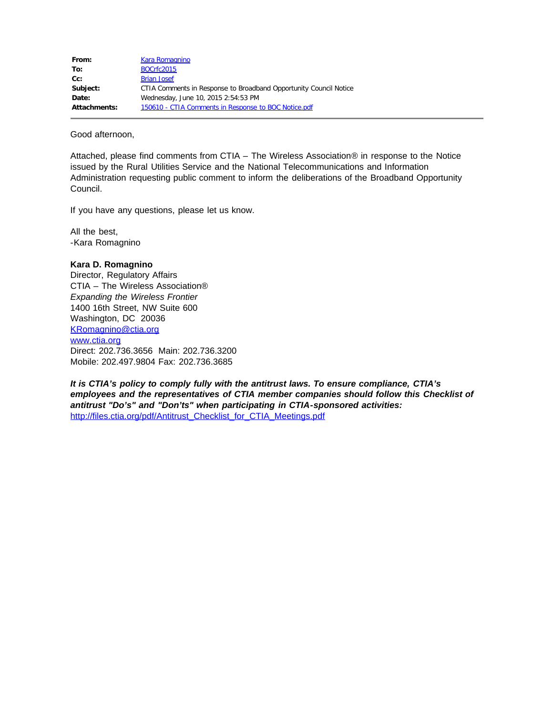| From:        | <b>Kara Romagnino</b>                                             |
|--------------|-------------------------------------------------------------------|
| To:          | <b>BOCrfc2015</b>                                                 |
| $Cc$ :       | <b>Brian Josef</b>                                                |
| Subject:     | CTIA Comments in Response to Broadband Opportunity Council Notice |
| Date:        | Wednesday, June 10, 2015 2:54:53 PM                               |
| Attachments: | 150610 - CTIA Comments in Response to BOC Notice.pdf              |

Good afternoon,

Attached, please find comments from CTIA – The Wireless Association® in response to the Notice issued by the Rural Utilities Service and the National Telecommunications and Information Administration requesting public comment to inform the deliberations of the Broadband Opportunity Council.

If you have any questions, please let us know.

All the best, -Kara Romagnino

#### **Kara D. Romagnino**

Director, Regulatory Affairs CTIA – The Wireless Association® *Expanding the Wireless Frontier* 1400 16th Street, NW Suite 600 Washington, DC 20036 [KRomagnino@ctia.org](mailto:KRomagnino@ctia.org) [www.ctia.org](http://www.ctia.org/) Direct: 202.736.3656 Main: 202.736.3200 Mobile: 202.497.9804 Fax: 202.736.3685

*It is CTIA's policy to comply fully with the antitrust laws. To ensure compliance, CTIA's employees and the representatives of CTIA member companies should follow this Checklist of antitrust "Do's" and "Don'ts" when participating in CTIA-sponsored activities:*  [http://files.ctia.org/pdf/Antitrust\\_Checklist\\_for\\_CTIA\\_Meetings.pdf](http://files.ctia.org/pdf/Antitrust_Checklist_for_CTIA_Meetings.pdf)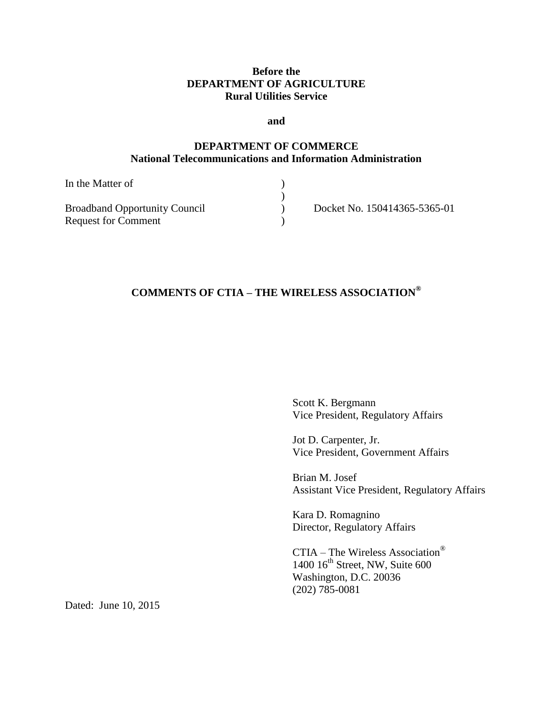# **Before the DEPARTMENT OF AGRICULTURE Rural Utilities Service**

**and**

# **DEPARTMENT OF COMMERCE National Telecommunications and Information Administration**

| In the Matter of                     |                              |
|--------------------------------------|------------------------------|
|                                      |                              |
| <b>Broadband Opportunity Council</b> | Docket No. 150414365-5365-01 |
| <b>Request for Comment</b>           |                              |

# **COMMENTS OF CTIA – THE WIRELESS ASSOCIATION®**

Scott K. Bergmann Vice President, Regulatory Affairs

Jot D. Carpenter, Jr. Vice President, Government Affairs

Brian M. Josef Assistant Vice President, Regulatory Affairs

Kara D. Romagnino Director, Regulatory Affairs

CTIA – The Wireless Association®  $1400$   $16^{\text{th}}$  Street, NW, Suite 600 Washington, D.C. 20036 (202) 785-0081

Dated: June 10, 2015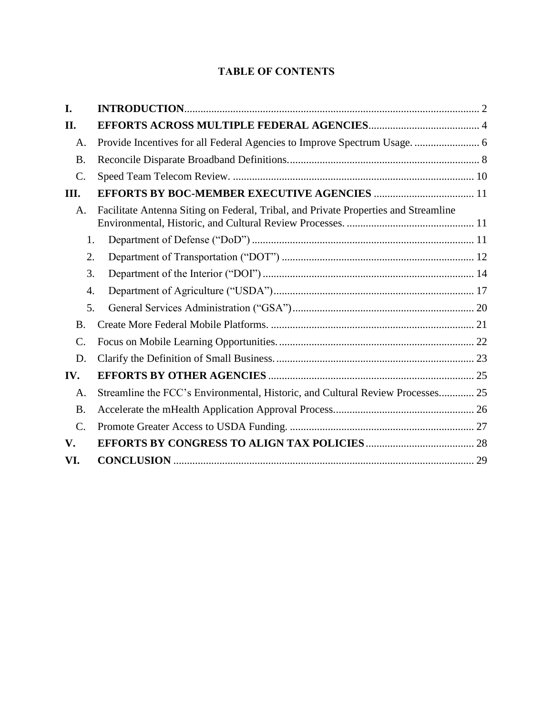# **TABLE OF CONTENTS**

| I.              |                                                                                     |  |  |
|-----------------|-------------------------------------------------------------------------------------|--|--|
| II.             |                                                                                     |  |  |
| A.              | Provide Incentives for all Federal Agencies to Improve Spectrum Usage.  6           |  |  |
| <b>B.</b>       |                                                                                     |  |  |
| $\mathcal{C}$ . |                                                                                     |  |  |
| Ш.              |                                                                                     |  |  |
| A.              | Facilitate Antenna Siting on Federal, Tribal, and Private Properties and Streamline |  |  |
| 1.              |                                                                                     |  |  |
| 2.              |                                                                                     |  |  |
| 3.              |                                                                                     |  |  |
| 4.              |                                                                                     |  |  |
| 5.              |                                                                                     |  |  |
| B.              |                                                                                     |  |  |
| $\mathcal{C}$ . |                                                                                     |  |  |
| D.              |                                                                                     |  |  |
| IV.             |                                                                                     |  |  |
| A.              | Streamline the FCC's Environmental, Historic, and Cultural Review Processes 25      |  |  |
| <b>B.</b>       |                                                                                     |  |  |
| $\mathcal{C}$ . |                                                                                     |  |  |
| V.              |                                                                                     |  |  |
| VI.             |                                                                                     |  |  |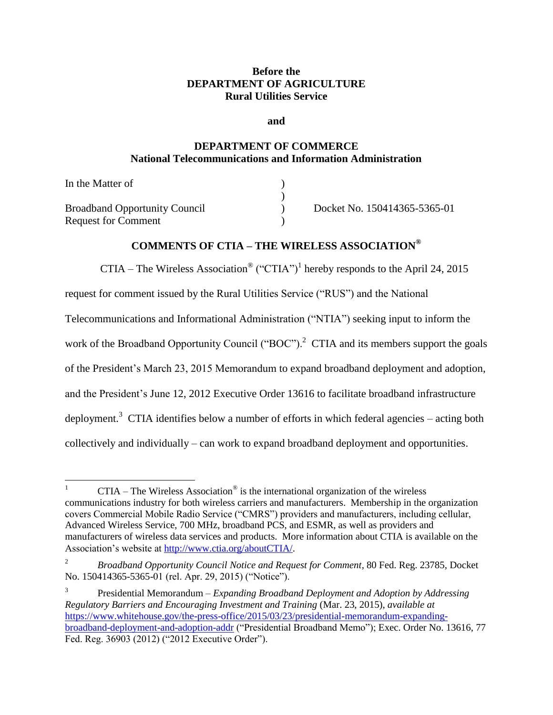# **Before the DEPARTMENT OF AGRICULTURE Rural Utilities Service**

**and**

# **DEPARTMENT OF COMMERCE National Telecommunications and Information Administration**

| In the Matter of                     |                              |
|--------------------------------------|------------------------------|
|                                      |                              |
| <b>Broadband Opportunity Council</b> | Docket No. 150414365-5365-01 |
| <b>Request for Comment</b>           |                              |

# **COMMENTS OF CTIA – THE WIRELESS ASSOCIATION®**

CTIA – The Wireless Association<sup>®</sup> ("CTIA")<sup>1</sup> hereby responds to the April 24, 2015

request for comment issued by the Rural Utilities Service ("RUS") and the National

Telecommunications and Informational Administration ("NTIA") seeking input to inform the

work of the Broadband Opportunity Council ("BOC").<sup>2</sup> CTIA and its members support the goals

of the President's March 23, 2015 Memorandum to expand broadband deployment and adoption,

and the President's June 12, 2012 Executive Order 13616 to facilitate broadband infrastructure

deployment.<sup>3</sup> CTIA identifies below a number of efforts in which federal agencies – acting both

collectively and individually – can work to expand broadband deployment and opportunities.

 $\mathbf{1}$ <sup>1</sup> CTIA – The Wireless Association<sup>®</sup> is the international organization of the wireless communications industry for both wireless carriers and manufacturers. Membership in the organization covers Commercial Mobile Radio Service ("CMRS") providers and manufacturers, including cellular, Advanced Wireless Service, 700 MHz, broadband PCS, and ESMR, as well as providers and manufacturers of wireless data services and products. More information about CTIA is available on the Association's website at [http://www.ctia.org/aboutCTIA/.](http://www.ctia.org/aboutCTIA/)

<sup>2</sup> *Broadband Opportunity Council Notice and Request for Comment*, 80 Fed. Reg. 23785, Docket No. 150414365-5365-01 (rel. Apr. 29, 2015) ("Notice").

<sup>3</sup> Presidential Memorandum *– Expanding Broadband Deployment and Adoption by Addressing Regulatory Barriers and Encouraging Investment and Training* (Mar. 23, 2015), *available at*  [https://www.whitehouse.gov/the-press-office/2015/03/23/presidential-memorandum-expanding](https://www.whitehouse.gov/the-press-office/2015/03/23/presidential-memorandum-expanding-broadband-deployment-and-adoption-addr)[broadband-deployment-and-adoption-addr](https://www.whitehouse.gov/the-press-office/2015/03/23/presidential-memorandum-expanding-broadband-deployment-and-adoption-addr) ("Presidential Broadband Memo"); Exec. Order No. 13616, 77 Fed. Reg. 36903 (2012) ("2012 Executive Order").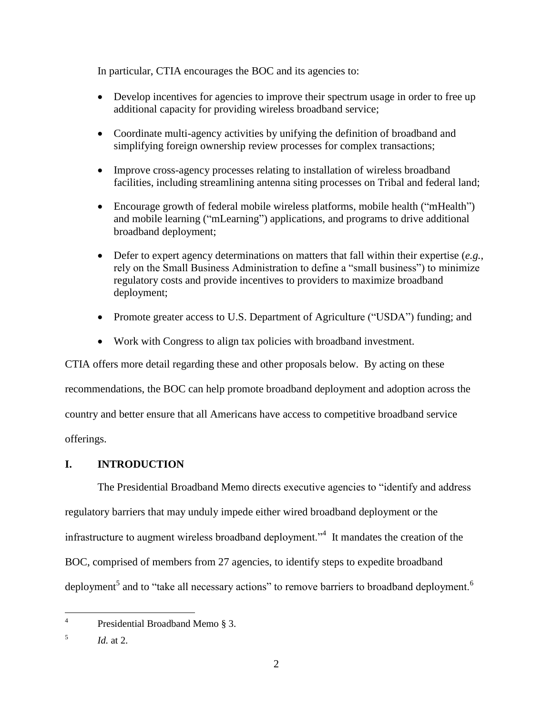In particular, CTIA encourages the BOC and its agencies to:

- Develop incentives for agencies to improve their spectrum usage in order to free up additional capacity for providing wireless broadband service;
- Coordinate multi-agency activities by unifying the definition of broadband and simplifying foreign ownership review processes for complex transactions;
- Improve cross-agency processes relating to installation of wireless broadband facilities, including streamlining antenna siting processes on Tribal and federal land;
- Encourage growth of federal mobile wireless platforms, mobile health ("mHealth") and mobile learning ("mLearning") applications, and programs to drive additional broadband deployment;
- Defer to expert agency determinations on matters that fall within their expertise (*e.g.*, rely on the Small Business Administration to define a "small business") to minimize regulatory costs and provide incentives to providers to maximize broadband deployment;
- Promote greater access to U.S. Department of Agriculture ("USDA") funding; and
- Work with Congress to align tax policies with broadband investment.

CTIA offers more detail regarding these and other proposals below. By acting on these recommendations, the BOC can help promote broadband deployment and adoption across the country and better ensure that all Americans have access to competitive broadband service offerings.

## <span id="page-4-0"></span>**I. INTRODUCTION**

The Presidential Broadband Memo directs executive agencies to "identify and address regulatory barriers that may unduly impede either wired broadband deployment or the infrastructure to augment wireless broadband deployment."<sup>4</sup> It mandates the creation of the BOC, comprised of members from 27 agencies, to identify steps to expedite broadband deployment<sup>5</sup> and to "take all necessary actions" to remove barriers to broadband deployment.<sup>6</sup>

 $\frac{1}{4}$ Presidential Broadband Memo § 3.

<sup>5</sup> *Id.* at 2.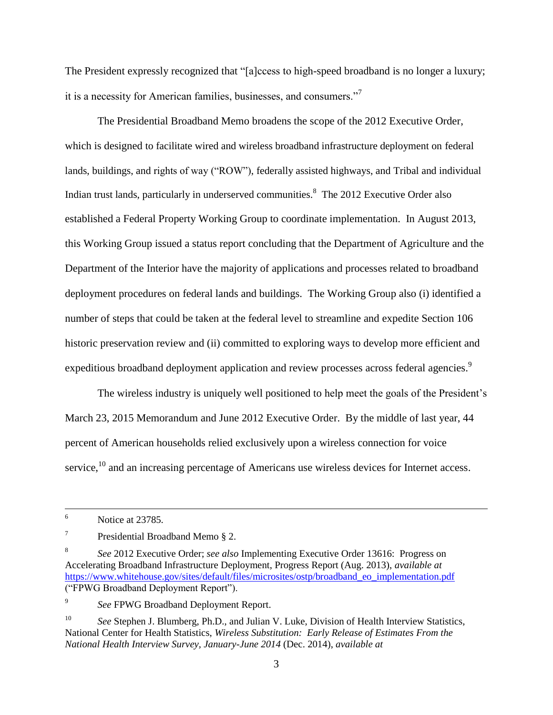The President expressly recognized that "[a]ccess to high-speed broadband is no longer a luxury; it is a necessity for American families, businesses, and consumers."<sup>7</sup>

The Presidential Broadband Memo broadens the scope of the 2012 Executive Order, which is designed to facilitate wired and wireless broadband infrastructure deployment on federal lands, buildings, and rights of way ("ROW"), federally assisted highways, and Tribal and individual Indian trust lands, particularly in underserved communities.<sup>8</sup> The 2012 Executive Order also established a Federal Property Working Group to coordinate implementation. In August 2013, this Working Group issued a status report concluding that the Department of Agriculture and the Department of the Interior have the majority of applications and processes related to broadband deployment procedures on federal lands and buildings. The Working Group also (i) identified a number of steps that could be taken at the federal level to streamline and expedite Section 106 historic preservation review and (ii) committed to exploring ways to develop more efficient and expeditious broadband deployment application and review processes across federal agencies.<sup>9</sup>

The wireless industry is uniquely well positioned to help meet the goals of the President's March 23, 2015 Memorandum and June 2012 Executive Order. By the middle of last year, 44 percent of American households relied exclusively upon a wireless connection for voice service,<sup>10</sup> and an increasing percentage of Americans use wireless devices for Internet access.

 $\overline{a}$ 

9 *See* FPWG Broadband Deployment Report.

<sup>6</sup> Notice at 23785.

<sup>7</sup> Presidential Broadband Memo § 2.

<sup>8</sup> *See* 2012 Executive Order; *see also* Implementing Executive Order 13616: Progress on Accelerating Broadband Infrastructure Deployment, Progress Report (Aug. 2013), *available at* [https://www.whitehouse.gov/sites/default/files/microsites/ostp/broadband\\_eo\\_implementation.pdf](https://www.whitehouse.gov/sites/default/files/microsites/ostp/broadband_eo_implementation.pdf) ("FPWG Broadband Deployment Report").

<sup>&</sup>lt;sup>10</sup> *See* Stephen J. Blumberg, Ph.D., and Julian V. Luke, Division of Health Interview Statistics, National Center for Health Statistics, *Wireless Substitution: Early Release of Estimates From the National Health Interview Survey, January-June 2014* (Dec. 2014), *available at*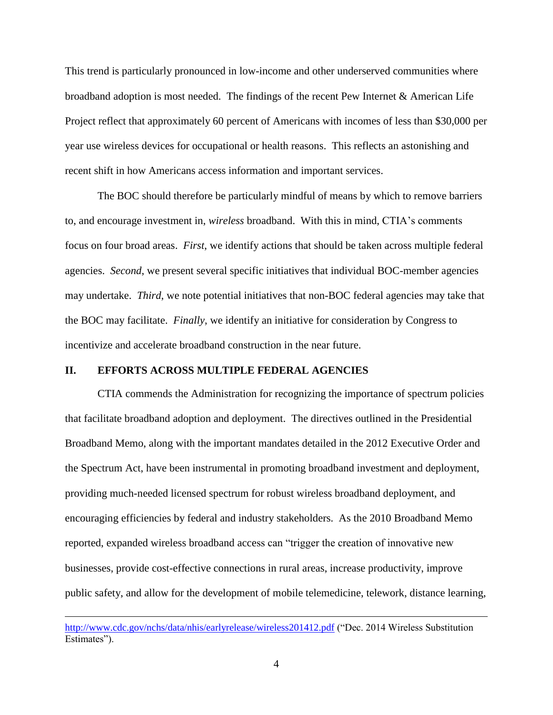This trend is particularly pronounced in low-income and other underserved communities where broadband adoption is most needed. The findings of the recent Pew Internet & American Life Project reflect that approximately 60 percent of Americans with incomes of less than \$30,000 per year use wireless devices for occupational or health reasons. This reflects an astonishing and recent shift in how Americans access information and important services.

The BOC should therefore be particularly mindful of means by which to remove barriers to, and encourage investment in, *wireless* broadband. With this in mind, CTIA's comments focus on four broad areas. *First*, we identify actions that should be taken across multiple federal agencies. *Second*, we present several specific initiatives that individual BOC-member agencies may undertake. *Third*, we note potential initiatives that non-BOC federal agencies may take that the BOC may facilitate. *Finally*, we identify an initiative for consideration by Congress to incentivize and accelerate broadband construction in the near future.

#### <span id="page-6-0"></span>**II. EFFORTS ACROSS MULTIPLE FEDERAL AGENCIES**

 $\overline{a}$ 

CTIA commends the Administration for recognizing the importance of spectrum policies that facilitate broadband adoption and deployment. The directives outlined in the Presidential Broadband Memo, along with the important mandates detailed in the 2012 Executive Order and the Spectrum Act, have been instrumental in promoting broadband investment and deployment, providing much-needed licensed spectrum for robust wireless broadband deployment, and encouraging efficiencies by federal and industry stakeholders. As the 2010 Broadband Memo reported, expanded wireless broadband access can "trigger the creation of innovative new businesses, provide cost-effective connections in rural areas, increase productivity, improve public safety, and allow for the development of mobile telemedicine, telework, distance learning,

<http://www.cdc.gov/nchs/data/nhis/earlyrelease/wireless201412.pdf> ("Dec. 2014 Wireless Substitution Estimates").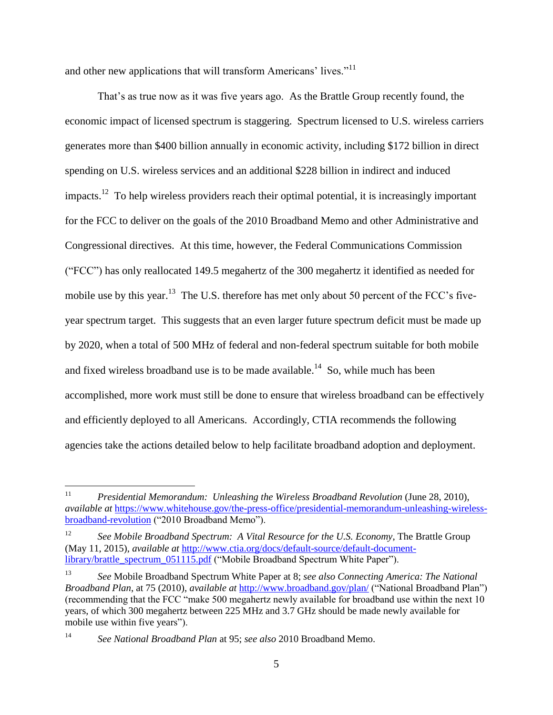and other new applications that will transform Americans' lives."<sup>11</sup>

That's as true now as it was five years ago. As the Brattle Group recently found, the economic impact of licensed spectrum is staggering. Spectrum licensed to U.S. wireless carriers generates more than \$400 billion annually in economic activity, including \$172 billion in direct spending on U.S. wireless services and an additional \$228 billion in indirect and induced impacts.<sup>12</sup> To help wireless providers reach their optimal potential, it is increasingly important for the FCC to deliver on the goals of the 2010 Broadband Memo and other Administrative and Congressional directives. At this time, however, the Federal Communications Commission ("FCC") has only reallocated 149.5 megahertz of the 300 megahertz it identified as needed for mobile use by this year.<sup>13</sup> The U.S. therefore has met only about 50 percent of the FCC's fiveyear spectrum target. This suggests that an even larger future spectrum deficit must be made up by 2020, when a total of 500 MHz of federal and non-federal spectrum suitable for both mobile and fixed wireless broadband use is to be made available.<sup>14</sup> So, while much has been accomplished, more work must still be done to ensure that wireless broadband can be effectively and efficiently deployed to all Americans. Accordingly, CTIA recommends the following agencies take the actions detailed below to help facilitate broadband adoption and deployment.

 $11$ <sup>11</sup> *Presidential Memorandum: Unleashing the Wireless Broadband Revolution* (June 28, 2010), *available at* [https://www.whitehouse.gov/the-press-office/presidential-memorandum-unleashing-wireless](https://www.whitehouse.gov/the-press-office/presidential-memorandum-unleashing-wireless-broadband-revolution)[broadband-revolution](https://www.whitehouse.gov/the-press-office/presidential-memorandum-unleashing-wireless-broadband-revolution) ("2010 Broadband Memo").

<sup>&</sup>lt;sup>12</sup> See Mobile Broadband Spectrum: A Vital Resource for the U.S. Economy, The Brattle Group (May 11, 2015), *available at* [http://www.ctia.org/docs/default-source/default-document](http://www.ctia.org/docs/default-source/default-document-library/brattle_spectrum_051115.pdf)[library/brattle\\_spectrum\\_051115.pdf](http://www.ctia.org/docs/default-source/default-document-library/brattle_spectrum_051115.pdf) ("Mobile Broadband Spectrum White Paper").

<sup>13</sup> *See* Mobile Broadband Spectrum White Paper at 8; *see also Connecting America: The National Broadband Plan*, at 75 (2010), *available at* <http://www.broadband.gov/plan/> ("National Broadband Plan") (recommending that the FCC "make 500 megahertz newly available for broadband use within the next 10 years, of which 300 megahertz between 225 MHz and 3.7 GHz should be made newly available for mobile use within five years").

<sup>14</sup> *See National Broadband Plan* at 95; *see also* 2010 Broadband Memo.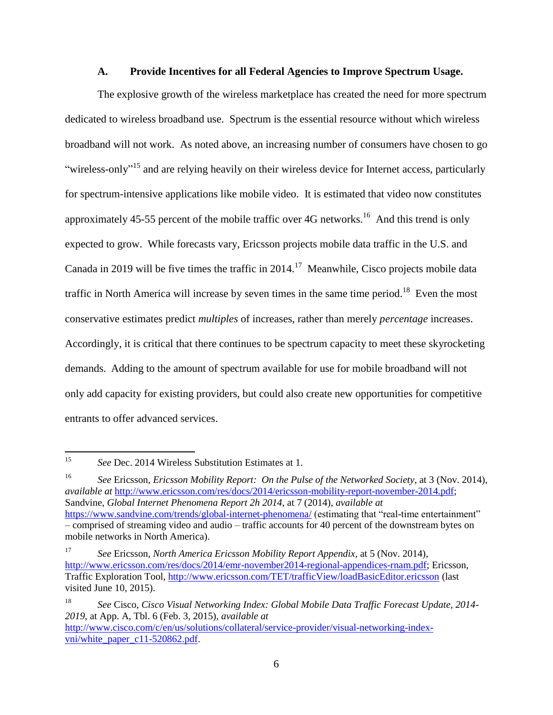#### **A. Provide Incentives for all Federal Agencies to Improve Spectrum Usage.**

<span id="page-8-0"></span>The explosive growth of the wireless marketplace has created the need for more spectrum dedicated to wireless broadband use. Spectrum is the essential resource without which wireless broadband will not work. As noted above, an increasing number of consumers have chosen to go "wireless-only"<sup>15</sup> and are relying heavily on their wireless device for Internet access, particularly for spectrum-intensive applications like mobile video. It is estimated that video now constitutes approximately 45-55 percent of the mobile traffic over 4G networks.<sup>16</sup> And this trend is only expected to grow. While forecasts vary, Ericsson projects mobile data traffic in the U.S. and Canada in 2019 will be five times the traffic in  $2014$ .<sup>17</sup> Meanwhile, Cisco projects mobile data traffic in North America will increase by seven times in the same time period.<sup>18</sup> Even the most conservative estimates predict *multiples* of increases, rather than merely *percentage* increases. Accordingly, it is critical that there continues to be spectrum capacity to meet these skyrocketing demands. Adding to the amount of spectrum available for use for mobile broadband will not only add capacity for existing providers, but could also create new opportunities for competitive entrants to offer advanced services.

<sup>16</sup> *See* Ericsson, *Ericsson Mobility Report: On the Pulse of the Networked Society*, at 3 (Nov. 2014), *available at* [http://www.ericsson.com/res/docs/2014/ericsson-mobility-report-november-2014.pdf;](http://www.ericsson.com/res/docs/2014/ericsson-mobility-report-november-2014.pdf) Sandvine, *Global Internet Phenomena Report 2h 2014*, at 7 (2014), *available at* <https://www.sandvine.com/trends/global-internet-phenomena/> (estimating that "real-time entertainment" – comprised of streaming video and audio – traffic accounts for 40 percent of the downstream bytes on mobile networks in North America).

 $\overline{a}$ 

<sup>15</sup> *See* Dec. 2014 Wireless Substitution Estimates at 1.

<sup>17</sup> *See* Ericsson, *North America Ericsson Mobility Report Appendix*, at 5 (Nov. 2014), [http://www.ericsson.com/res/docs/2014/emr-november2014-regional-appendices-rnam.pdf;](http://www.ericsson.com/res/docs/2014/emr-november2014-regional-appendices-rnam.pdf) Ericsson, Traffic Exploration Tool,<http://www.ericsson.com/TET/trafficView/loadBasicEditor.ericsson> (last visited June 10, 2015).

<sup>18</sup> *See* Cisco, *Cisco Visual Networking Index: Global Mobile Data Traffic Forecast Update, 2014- 2019*, at App. A, Tbl. 6 (Feb. 3, 2015), *available at* [http://www.cisco.com/c/en/us/solutions/collateral/service-provider/visual-networking-index-](http://www.cisco.com/c/en/us/solutions/collateral/service-provider/visual-networking-index-vni/white_paper_c11-520862.pdf)

[vni/white\\_paper\\_c11-520862.pdf.](http://www.cisco.com/c/en/us/solutions/collateral/service-provider/visual-networking-index-vni/white_paper_c11-520862.pdf)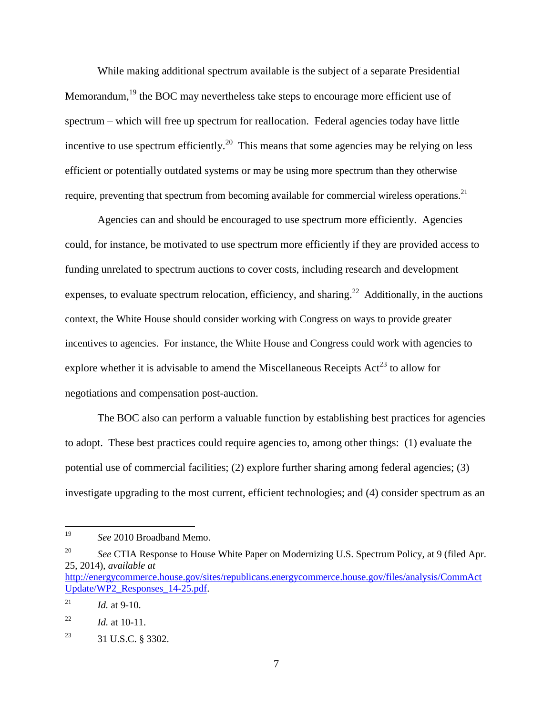While making additional spectrum available is the subject of a separate Presidential Memorandum,<sup>19</sup> the BOC may nevertheless take steps to encourage more efficient use of spectrum – which will free up spectrum for reallocation. Federal agencies today have little incentive to use spectrum efficiently.<sup>20</sup> This means that some agencies may be relying on less efficient or potentially outdated systems or may be using more spectrum than they otherwise require, preventing that spectrum from becoming available for commercial wireless operations.<sup>21</sup>

Agencies can and should be encouraged to use spectrum more efficiently. Agencies could, for instance, be motivated to use spectrum more efficiently if they are provided access to funding unrelated to spectrum auctions to cover costs, including research and development expenses, to evaluate spectrum relocation, efficiency, and sharing.<sup>22</sup> Additionally, in the auctions context, the White House should consider working with Congress on ways to provide greater incentives to agencies. For instance, the White House and Congress could work with agencies to explore whether it is advisable to amend the Miscellaneous Receipts  $Act^{23}$  to allow for negotiations and compensation post-auction.

The BOC also can perform a valuable function by establishing best practices for agencies to adopt. These best practices could require agencies to, among other things: (1) evaluate the potential use of commercial facilities; (2) explore further sharing among federal agencies; (3) investigate upgrading to the most current, efficient technologies; and (4) consider spectrum as an

<sup>19</sup> See 2010 Broadband Memo.

<sup>&</sup>lt;sup>20</sup> *See* CTIA Response to House White Paper on Modernizing U.S. Spectrum Policy, at 9 (filed Apr. 25, 2014), *available at* 

[http://energycommerce.house.gov/sites/republicans.energycommerce.house.gov/files/analysis/CommAct](http://energycommerce.house.gov/sites/republicans.energycommerce.house.gov/files/analysis/CommActUpdate/WP2_Responses_14-25.pdf) [Update/WP2\\_Responses\\_14-25.pdf.](http://energycommerce.house.gov/sites/republicans.energycommerce.house.gov/files/analysis/CommActUpdate/WP2_Responses_14-25.pdf)

<sup>&</sup>lt;sup>21</sup> *Id.* at 9-10.

<sup>22</sup> *Id.* at 10-11.

<sup>23</sup> 31 U.S.C. § 3302.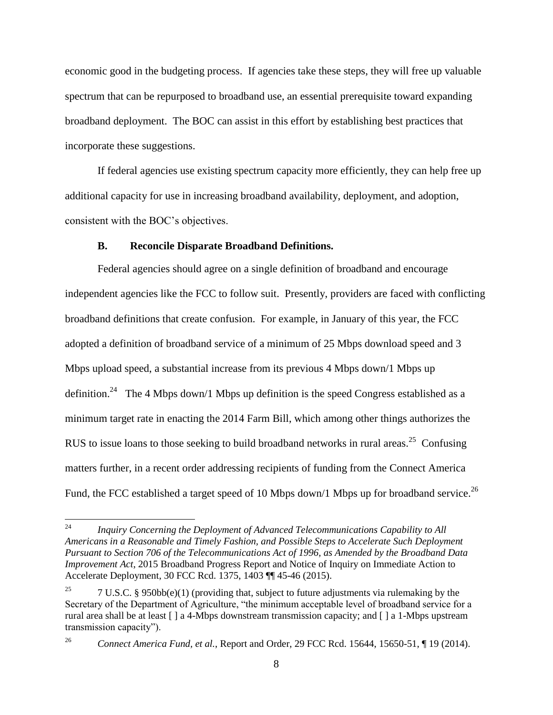economic good in the budgeting process. If agencies take these steps, they will free up valuable spectrum that can be repurposed to broadband use, an essential prerequisite toward expanding broadband deployment. The BOC can assist in this effort by establishing best practices that incorporate these suggestions.

If federal agencies use existing spectrum capacity more efficiently, they can help free up additional capacity for use in increasing broadband availability, deployment, and adoption, consistent with the BOC's objectives.

#### **B. Reconcile Disparate Broadband Definitions.**

<span id="page-10-0"></span>Federal agencies should agree on a single definition of broadband and encourage independent agencies like the FCC to follow suit. Presently, providers are faced with conflicting broadband definitions that create confusion. For example, in January of this year, the FCC adopted a definition of broadband service of a minimum of 25 Mbps download speed and 3 Mbps upload speed, a substantial increase from its previous 4 Mbps down/1 Mbps up definition.<sup>24</sup> The 4 Mbps down/1 Mbps up definition is the speed Congress established as a minimum target rate in enacting the 2014 Farm Bill, which among other things authorizes the RUS to issue loans to those seeking to build broadband networks in rural areas.<sup>25</sup> Confusing matters further, in a recent order addressing recipients of funding from the Connect America Fund, the FCC established a target speed of 10 Mbps down/1 Mbps up for broadband service.<sup>26</sup>

<sup>24</sup> <sup>24</sup> *Inquiry Concerning the Deployment of Advanced Telecommunications Capability to All Americans in a Reasonable and Timely Fashion, and Possible Steps to Accelerate Such Deployment Pursuant to Section 706 of the Telecommunications Act of 1996, as Amended by the Broadband Data Improvement Act*, 2015 Broadband Progress Report and Notice of Inquiry on Immediate Action to Accelerate Deployment, 30 FCC Rcd. 1375, 1403 ¶¶ 45-46 (2015).

<sup>&</sup>lt;sup>25</sup> 7 U.S.C. § 950bb(e)(1) (providing that, subject to future adjustments via rulemaking by the Secretary of the Department of Agriculture, "the minimum acceptable level of broadband service for a rural area shall be at least [ ] a 4-Mbps downstream transmission capacity; and [ ] a 1-Mbps upstream transmission capacity").

<sup>26</sup> *Connect America Fund, et al.*, Report and Order, 29 FCC Rcd. 15644, 15650-51, ¶ 19 (2014).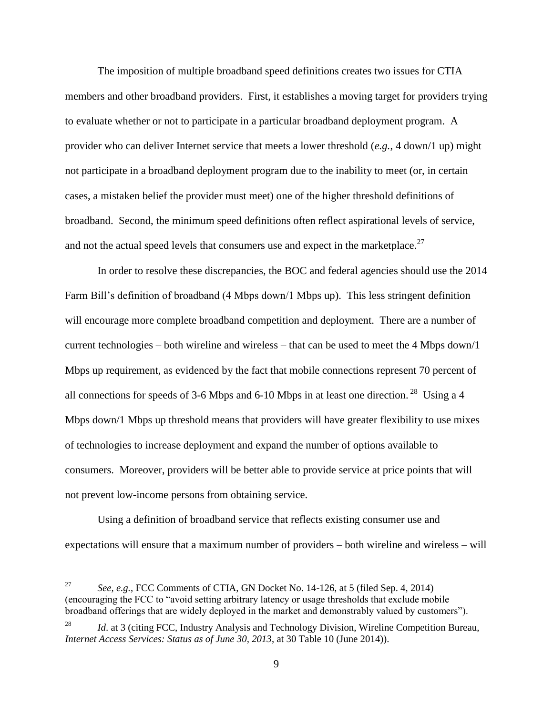The imposition of multiple broadband speed definitions creates two issues for CTIA members and other broadband providers. First, it establishes a moving target for providers trying to evaluate whether or not to participate in a particular broadband deployment program. A provider who can deliver Internet service that meets a lower threshold (*e.g.*, 4 down/1 up) might not participate in a broadband deployment program due to the inability to meet (or, in certain cases, a mistaken belief the provider must meet) one of the higher threshold definitions of broadband. Second, the minimum speed definitions often reflect aspirational levels of service, and not the actual speed levels that consumers use and expect in the marketplace.<sup>27</sup>

In order to resolve these discrepancies, the BOC and federal agencies should use the 2014 Farm Bill's definition of broadband (4 Mbps down/1 Mbps up). This less stringent definition will encourage more complete broadband competition and deployment. There are a number of current technologies – both wireline and wireless – that can be used to meet the 4 Mbps down/1 Mbps up requirement, as evidenced by the fact that mobile connections represent 70 percent of all connections for speeds of 3-6 Mbps and 6-10 Mbps in at least one direction.<sup>28</sup> Using a 4 Mbps down/1 Mbps up threshold means that providers will have greater flexibility to use mixes of technologies to increase deployment and expand the number of options available to consumers. Moreover, providers will be better able to provide service at price points that will not prevent low-income persons from obtaining service.

Using a definition of broadband service that reflects existing consumer use and expectations will ensure that a maximum number of providers – both wireline and wireless – will

<sup>27</sup> <sup>27</sup> *See, e.g.*, FCC Comments of CTIA, GN Docket No. 14-126, at 5 (filed Sep. 4, 2014) (encouraging the FCC to "avoid setting arbitrary latency or usage thresholds that exclude mobile broadband offerings that are widely deployed in the market and demonstrably valued by customers").

Id. at 3 (citing FCC, Industry Analysis and Technology Division, Wireline Competition Bureau, *Internet Access Services: Status as of June 30, 2013*, at 30 Table 10 (June 2014)).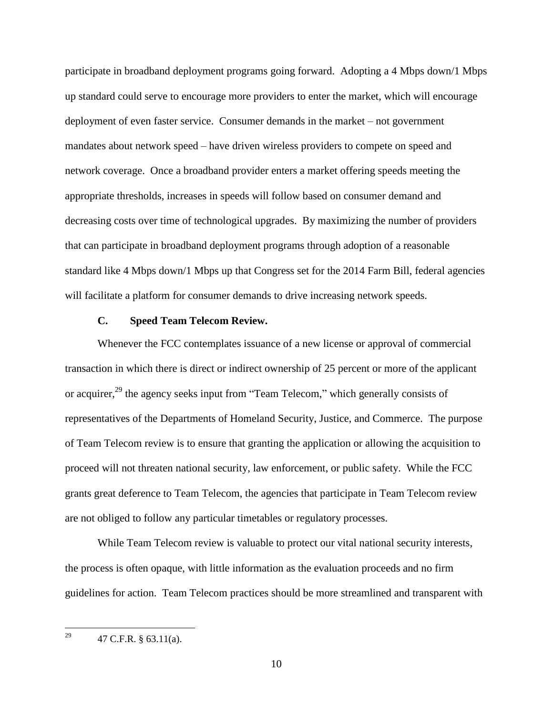participate in broadband deployment programs going forward. Adopting a 4 Mbps down/1 Mbps up standard could serve to encourage more providers to enter the market, which will encourage deployment of even faster service. Consumer demands in the market – not government mandates about network speed – have driven wireless providers to compete on speed and network coverage. Once a broadband provider enters a market offering speeds meeting the appropriate thresholds, increases in speeds will follow based on consumer demand and decreasing costs over time of technological upgrades. By maximizing the number of providers that can participate in broadband deployment programs through adoption of a reasonable standard like 4 Mbps down/1 Mbps up that Congress set for the 2014 Farm Bill, federal agencies will facilitate a platform for consumer demands to drive increasing network speeds.

#### **C. Speed Team Telecom Review.**

<span id="page-12-0"></span>Whenever the FCC contemplates issuance of a new license or approval of commercial transaction in which there is direct or indirect ownership of 25 percent or more of the applicant or acquirer,<sup>29</sup> the agency seeks input from "Team Telecom," which generally consists of representatives of the Departments of Homeland Security, Justice, and Commerce. The purpose of Team Telecom review is to ensure that granting the application or allowing the acquisition to proceed will not threaten national security, law enforcement, or public safety. While the FCC grants great deference to Team Telecom, the agencies that participate in Team Telecom review are not obliged to follow any particular timetables or regulatory processes.

While Team Telecom review is valuable to protect our vital national security interests, the process is often opaque, with little information as the evaluation proceeds and no firm guidelines for action. Team Telecom practices should be more streamlined and transparent with

 $\overline{a}$ 

<sup>&</sup>lt;sup>29</sup> 47 C.F.R. § 63.11(a).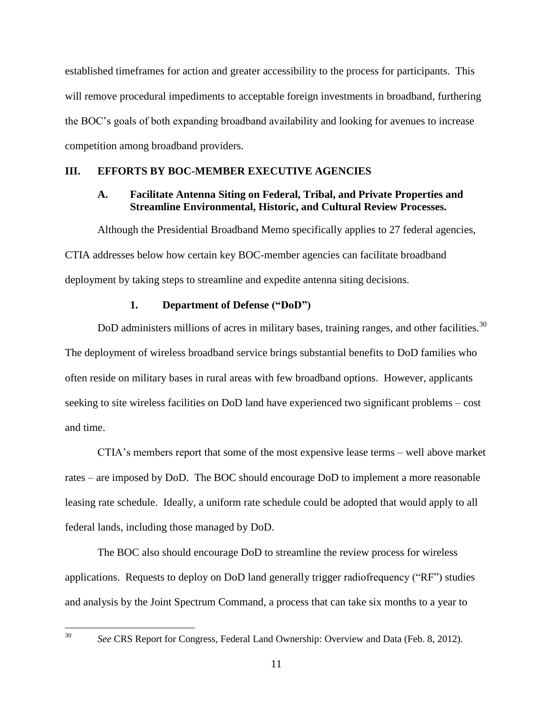established timeframes for action and greater accessibility to the process for participants. This will remove procedural impediments to acceptable foreign investments in broadband, furthering the BOC's goals of both expanding broadband availability and looking for avenues to increase competition among broadband providers.

# <span id="page-13-1"></span><span id="page-13-0"></span>**III. EFFORTS BY BOC-MEMBER EXECUTIVE AGENCIES**

# **A. Facilitate Antenna Siting on Federal, Tribal, and Private Properties and Streamline Environmental, Historic, and Cultural Review Processes.**

Although the Presidential Broadband Memo specifically applies to 27 federal agencies, CTIA addresses below how certain key BOC-member agencies can facilitate broadband deployment by taking steps to streamline and expedite antenna siting decisions.

# **1. Department of Defense ("DoD")**

<span id="page-13-2"></span>DoD administers millions of acres in military bases, training ranges, and other facilities.<sup>30</sup> The deployment of wireless broadband service brings substantial benefits to DoD families who often reside on military bases in rural areas with few broadband options. However, applicants seeking to site wireless facilities on DoD land have experienced two significant problems – cost and time.

CTIA's members report that some of the most expensive lease terms – well above market rates – are imposed by DoD. The BOC should encourage DoD to implement a more reasonable leasing rate schedule. Ideally, a uniform rate schedule could be adopted that would apply to all federal lands, including those managed by DoD.

The BOC also should encourage DoD to streamline the review process for wireless applications. Requests to deploy on DoD land generally trigger radiofrequency ("RF") studies and analysis by the Joint Spectrum Command, a process that can take six months to a year to

30

See CRS Report for Congress, Federal Land Ownership: Overview and Data (Feb. 8, 2012).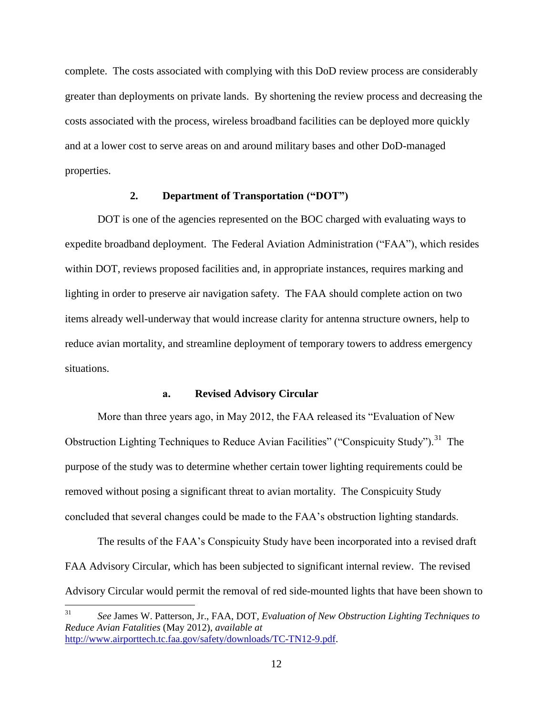complete. The costs associated with complying with this DoD review process are considerably greater than deployments on private lands. By shortening the review process and decreasing the costs associated with the process, wireless broadband facilities can be deployed more quickly and at a lower cost to serve areas on and around military bases and other DoD-managed properties.

## **2. Department of Transportation ("DOT")**

<span id="page-14-0"></span>DOT is one of the agencies represented on the BOC charged with evaluating ways to expedite broadband deployment. The Federal Aviation Administration ("FAA"), which resides within DOT, reviews proposed facilities and, in appropriate instances, requires marking and lighting in order to preserve air navigation safety. The FAA should complete action on two items already well-underway that would increase clarity for antenna structure owners, help to reduce avian mortality, and streamline deployment of temporary towers to address emergency situations.

### **a. Revised Advisory Circular**

More than three years ago, in May 2012, the FAA released its "Evaluation of New Obstruction Lighting Techniques to Reduce Avian Facilities" ("Conspicuity Study").<sup>31</sup> The purpose of the study was to determine whether certain tower lighting requirements could be removed without posing a significant threat to avian mortality. The Conspicuity Study concluded that several changes could be made to the FAA's obstruction lighting standards.

The results of the FAA's Conspicuity Study have been incorporated into a revised draft FAA Advisory Circular, which has been subjected to significant internal review. The revised Advisory Circular would permit the removal of red side-mounted lights that have been shown to

<sup>31</sup> <sup>31</sup> *See* James W. Patterson, Jr., FAA, DOT, *Evaluation of New Obstruction Lighting Techniques to Reduce Avian Fatalities* (May 2012), *available at*  [http://www.airporttech.tc.faa.gov/safety/downloads/TC-TN12-9.pdf.](http://www.airporttech.tc.faa.gov/safety/downloads/TC-TN12-9.pdf)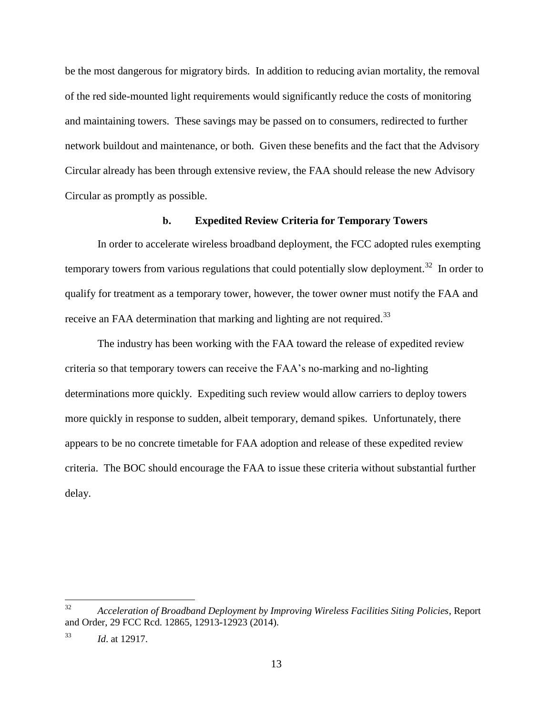be the most dangerous for migratory birds. In addition to reducing avian mortality, the removal of the red side-mounted light requirements would significantly reduce the costs of monitoring and maintaining towers. These savings may be passed on to consumers, redirected to further network buildout and maintenance, or both. Given these benefits and the fact that the Advisory Circular already has been through extensive review, the FAA should release the new Advisory Circular as promptly as possible.

## **b. Expedited Review Criteria for Temporary Towers**

In order to accelerate wireless broadband deployment, the FCC adopted rules exempting temporary towers from various regulations that could potentially slow deployment.<sup>32</sup> In order to qualify for treatment as a temporary tower, however, the tower owner must notify the FAA and receive an FAA determination that marking and lighting are not required.<sup>33</sup>

The industry has been working with the FAA toward the release of expedited review criteria so that temporary towers can receive the FAA's no-marking and no-lighting determinations more quickly. Expediting such review would allow carriers to deploy towers more quickly in response to sudden, albeit temporary, demand spikes. Unfortunately, there appears to be no concrete timetable for FAA adoption and release of these expedited review criteria. The BOC should encourage the FAA to issue these criteria without substantial further delay.

<sup>32</sup> <sup>32</sup> *Acceleration of Broadband Deployment by Improving Wireless Facilities Siting Policies*, Report and Order, 29 FCC Rcd. 12865, 12913-12923 (2014).

<sup>33</sup> *Id*. at 12917.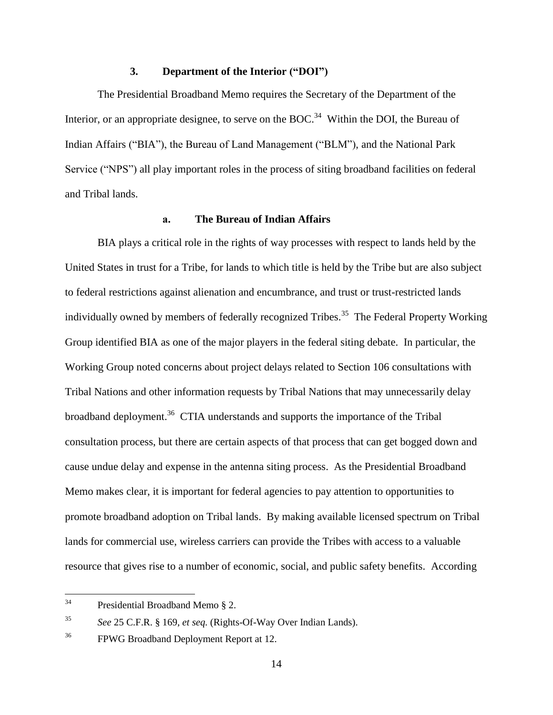## **3. Department of the Interior ("DOI")**

<span id="page-16-0"></span>The Presidential Broadband Memo requires the Secretary of the Department of the Interior, or an appropriate designee, to serve on the BOC.<sup>34</sup> Within the DOI, the Bureau of Indian Affairs ("BIA"), the Bureau of Land Management ("BLM"), and the National Park Service ("NPS") all play important roles in the process of siting broadband facilities on federal and Tribal lands.

## **a. The Bureau of Indian Affairs**

BIA plays a critical role in the rights of way processes with respect to lands held by the United States in trust for a Tribe, for lands to which title is held by the Tribe but are also subject to federal restrictions against alienation and encumbrance, and trust or trust-restricted lands individually owned by members of federally recognized Tribes.<sup>35</sup> The Federal Property Working Group identified BIA as one of the major players in the federal siting debate. In particular, the Working Group noted concerns about project delays related to Section 106 consultations with Tribal Nations and other information requests by Tribal Nations that may unnecessarily delay broadband deployment.<sup>36</sup> CTIA understands and supports the importance of the Tribal consultation process, but there are certain aspects of that process that can get bogged down and cause undue delay and expense in the antenna siting process. As the Presidential Broadband Memo makes clear, it is important for federal agencies to pay attention to opportunities to promote broadband adoption on Tribal lands. By making available licensed spectrum on Tribal lands for commercial use, wireless carriers can provide the Tribes with access to a valuable resource that gives rise to a number of economic, social, and public safety benefits. According

 $34$ Presidential Broadband Memo § 2.

<sup>35</sup> *See* 25 C.F.R. § 169, *et seq.* (Rights-Of-Way Over Indian Lands).

<sup>&</sup>lt;sup>36</sup> FPWG Broadband Deployment Report at 12.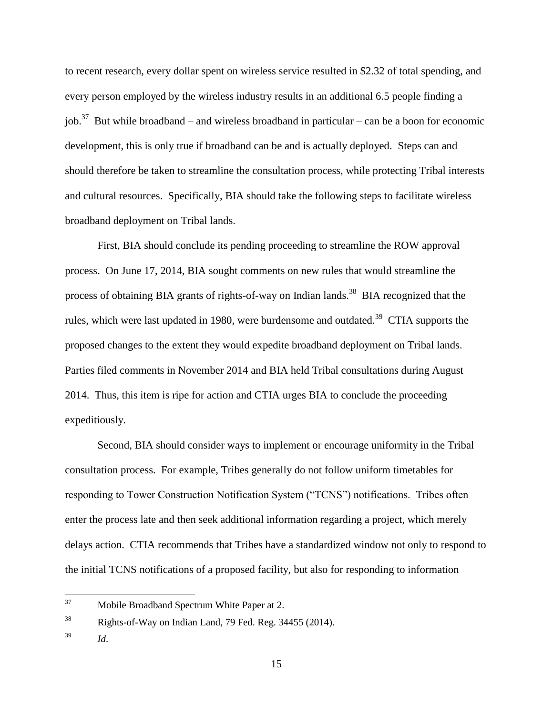to recent research, every dollar spent on wireless service resulted in \$2.32 of total spending, and every person employed by the wireless industry results in an additional 6.5 people finding a job.<sup>37</sup> But while broadband – and wireless broadband in particular – can be a boon for economic development, this is only true if broadband can be and is actually deployed. Steps can and should therefore be taken to streamline the consultation process, while protecting Tribal interests and cultural resources. Specifically, BIA should take the following steps to facilitate wireless broadband deployment on Tribal lands.

First, BIA should conclude its pending proceeding to streamline the ROW approval process. On June 17, 2014, BIA sought comments on new rules that would streamline the process of obtaining BIA grants of rights-of-way on Indian lands.<sup>38</sup> BIA recognized that the rules, which were last updated in 1980, were burdensome and outdated.<sup>39</sup> CTIA supports the proposed changes to the extent they would expedite broadband deployment on Tribal lands. Parties filed comments in November 2014 and BIA held Tribal consultations during August 2014. Thus, this item is ripe for action and CTIA urges BIA to conclude the proceeding expeditiously.

Second, BIA should consider ways to implement or encourage uniformity in the Tribal consultation process. For example, Tribes generally do not follow uniform timetables for responding to Tower Construction Notification System ("TCNS") notifications. Tribes often enter the process late and then seek additional information regarding a project, which merely delays action. CTIA recommends that Tribes have a standardized window not only to respond to the initial TCNS notifications of a proposed facility, but also for responding to information

<sup>37</sup> Mobile Broadband Spectrum White Paper at 2.

<sup>38</sup> Rights-of-Way on Indian Land, 79 Fed. Reg. 34455 (2014).

<sup>39</sup> *Id*.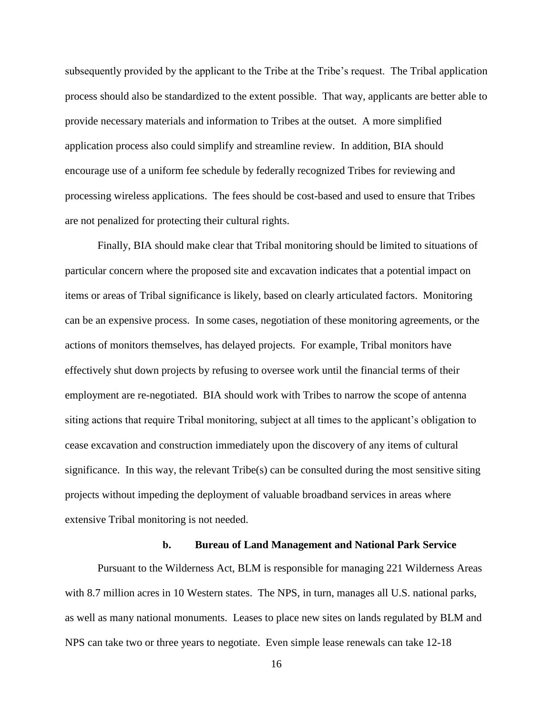subsequently provided by the applicant to the Tribe at the Tribe's request. The Tribal application process should also be standardized to the extent possible. That way, applicants are better able to provide necessary materials and information to Tribes at the outset. A more simplified application process also could simplify and streamline review. In addition, BIA should encourage use of a uniform fee schedule by federally recognized Tribes for reviewing and processing wireless applications. The fees should be cost-based and used to ensure that Tribes are not penalized for protecting their cultural rights.

Finally, BIA should make clear that Tribal monitoring should be limited to situations of particular concern where the proposed site and excavation indicates that a potential impact on items or areas of Tribal significance is likely, based on clearly articulated factors. Monitoring can be an expensive process. In some cases, negotiation of these monitoring agreements, or the actions of monitors themselves, has delayed projects. For example, Tribal monitors have effectively shut down projects by refusing to oversee work until the financial terms of their employment are re-negotiated. BIA should work with Tribes to narrow the scope of antenna siting actions that require Tribal monitoring, subject at all times to the applicant's obligation to cease excavation and construction immediately upon the discovery of any items of cultural significance. In this way, the relevant Tribe(s) can be consulted during the most sensitive siting projects without impeding the deployment of valuable broadband services in areas where extensive Tribal monitoring is not needed.

#### **b. Bureau of Land Management and National Park Service**

Pursuant to the Wilderness Act, BLM is responsible for managing 221 Wilderness Areas with 8.7 million acres in 10 Western states. The NPS, in turn, manages all U.S. national parks, as well as many national monuments. Leases to place new sites on lands regulated by BLM and NPS can take two or three years to negotiate. Even simple lease renewals can take 12-18

16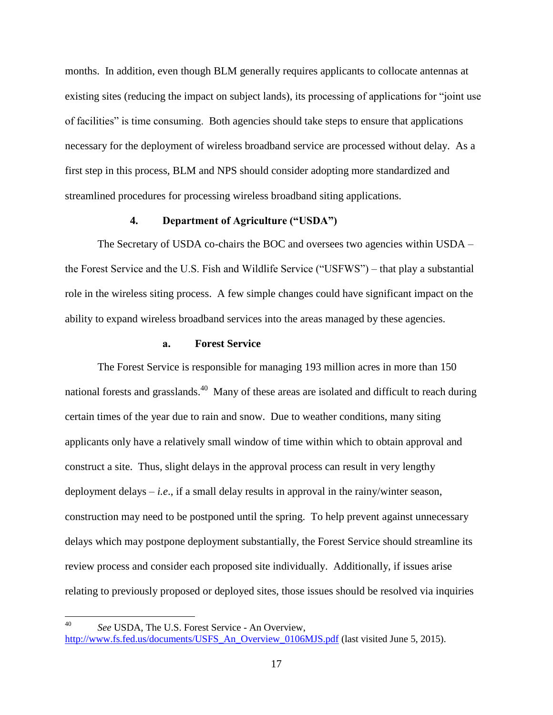months. In addition, even though BLM generally requires applicants to collocate antennas at existing sites (reducing the impact on subject lands), its processing of applications for "joint use of facilities" is time consuming. Both agencies should take steps to ensure that applications necessary for the deployment of wireless broadband service are processed without delay. As a first step in this process, BLM and NPS should consider adopting more standardized and streamlined procedures for processing wireless broadband siting applications.

## **4. Department of Agriculture ("USDA")**

<span id="page-19-0"></span>The Secretary of USDA co-chairs the BOC and oversees two agencies within USDA – the Forest Service and the U.S. Fish and Wildlife Service ("USFWS") – that play a substantial role in the wireless siting process. A few simple changes could have significant impact on the ability to expand wireless broadband services into the areas managed by these agencies.

# **a. Forest Service**

The Forest Service is responsible for managing 193 million acres in more than 150 national forests and grasslands.<sup>40</sup> Many of these areas are isolated and difficult to reach during certain times of the year due to rain and snow. Due to weather conditions, many siting applicants only have a relatively small window of time within which to obtain approval and construct a site. Thus, slight delays in the approval process can result in very lengthy deployment delays  $-i.e.,$  if a small delay results in approval in the rainy/winter season, construction may need to be postponed until the spring. To help prevent against unnecessary delays which may postpone deployment substantially, the Forest Service should streamline its review process and consider each proposed site individually. Additionally, if issues arise relating to previously proposed or deployed sites, those issues should be resolved via inquiries

40 See USDA, The U.S. Forest Service - An Overview,

[http://www.fs.fed.us/documents/USFS\\_An\\_Overview\\_0106MJS.pdf](http://www.fs.fed.us/documents/USFS_An_Overview_0106MJS.pdf) (last visited June 5, 2015).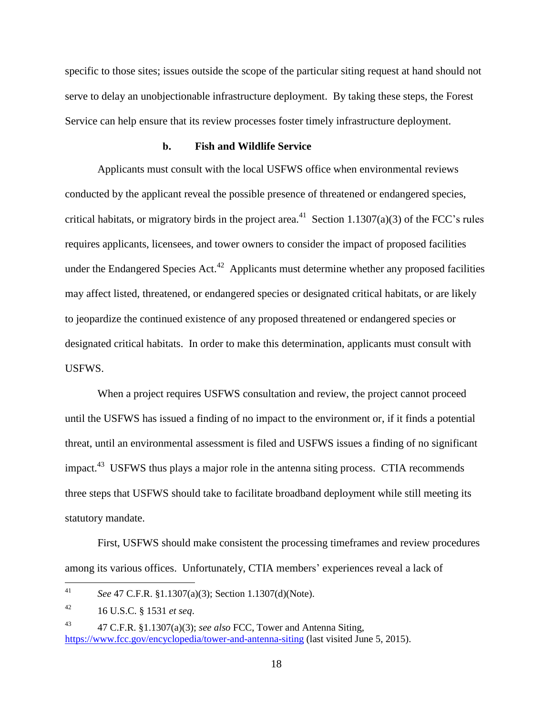specific to those sites; issues outside the scope of the particular siting request at hand should not serve to delay an unobjectionable infrastructure deployment. By taking these steps, the Forest Service can help ensure that its review processes foster timely infrastructure deployment.

## **b. Fish and Wildlife Service**

Applicants must consult with the local USFWS office when environmental reviews conducted by the applicant reveal the possible presence of threatened or endangered species, critical habitats, or migratory birds in the project area.<sup>41</sup> Section 1.1307(a)(3) of the FCC's rules requires applicants, licensees, and tower owners to consider the impact of proposed facilities under the Endangered Species Act.<sup>42</sup> Applicants must determine whether any proposed facilities may affect listed, threatened, or endangered species or designated critical habitats, or are likely to jeopardize the continued existence of any proposed threatened or endangered species or designated critical habitats. In order to make this determination, applicants must consult with USFWS.

When a project requires USFWS consultation and review, the project cannot proceed until the USFWS has issued a finding of no impact to the environment or, if it finds a potential threat, until an environmental assessment is filed and USFWS issues a finding of no significant impact.<sup>43</sup> USFWS thus plays a major role in the antenna siting process. CTIA recommends three steps that USFWS should take to facilitate broadband deployment while still meeting its statutory mandate.

First, USFWS should make consistent the processing timeframes and review procedures among its various offices. Unfortunately, CTIA members' experiences reveal a lack of

 $41$ <sup>41</sup> *See* 47 C.F.R. §1.1307(a)(3); Section 1.1307(d)(Note).

<sup>42</sup> 16 U.S.C. § 1531 *et seq*.

<sup>43</sup> 47 C.F.R. §1.1307(a)(3); *see also* FCC, Tower and Antenna Siting, <https://www.fcc.gov/encyclopedia/tower-and-antenna-siting> (last visited June 5, 2015).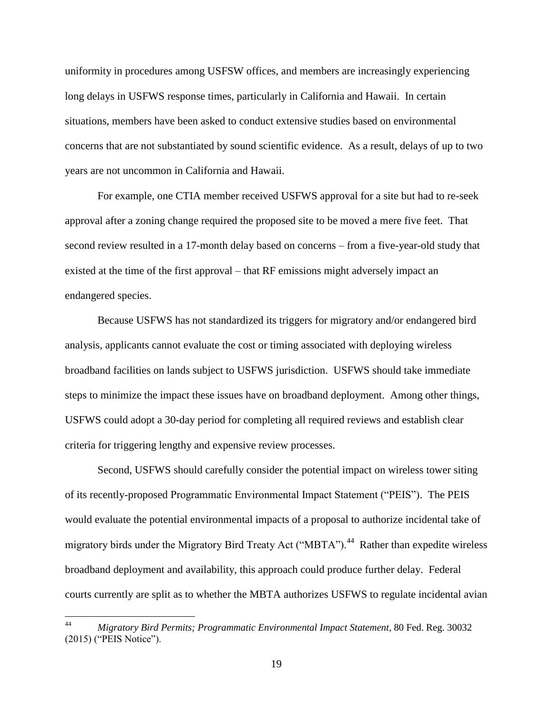uniformity in procedures among USFSW offices, and members are increasingly experiencing long delays in USFWS response times, particularly in California and Hawaii. In certain situations, members have been asked to conduct extensive studies based on environmental concerns that are not substantiated by sound scientific evidence. As a result, delays of up to two years are not uncommon in California and Hawaii.

For example, one CTIA member received USFWS approval for a site but had to re-seek approval after a zoning change required the proposed site to be moved a mere five feet. That second review resulted in a 17-month delay based on concerns – from a five-year-old study that existed at the time of the first approval – that RF emissions might adversely impact an endangered species.

Because USFWS has not standardized its triggers for migratory and/or endangered bird analysis, applicants cannot evaluate the cost or timing associated with deploying wireless broadband facilities on lands subject to USFWS jurisdiction. USFWS should take immediate steps to minimize the impact these issues have on broadband deployment. Among other things, USFWS could adopt a 30-day period for completing all required reviews and establish clear criteria for triggering lengthy and expensive review processes.

Second, USFWS should carefully consider the potential impact on wireless tower siting of its recently-proposed Programmatic Environmental Impact Statement ("PEIS"). The PEIS would evaluate the potential environmental impacts of a proposal to authorize incidental take of migratory birds under the Migratory Bird Treaty Act ("MBTA").<sup>44</sup> Rather than expedite wireless broadband deployment and availability, this approach could produce further delay. Federal courts currently are split as to whether the MBTA authorizes USFWS to regulate incidental avian

 $44$ <sup>44</sup> *Migratory Bird Permits; Programmatic Environmental Impact Statement*, 80 Fed. Reg. 30032 (2015) ("PEIS Notice").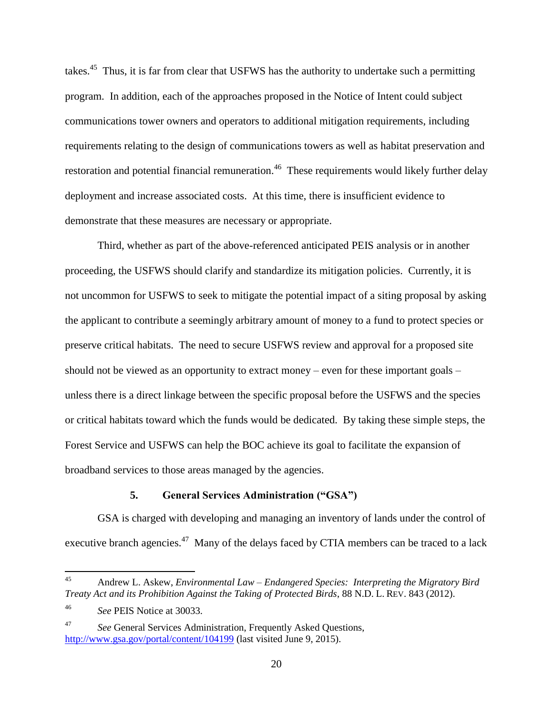takes.<sup>45</sup> Thus, it is far from clear that USFWS has the authority to undertake such a permitting program. In addition, each of the approaches proposed in the Notice of Intent could subject communications tower owners and operators to additional mitigation requirements, including requirements relating to the design of communications towers as well as habitat preservation and restoration and potential financial remuneration.<sup>46</sup> These requirements would likely further delay deployment and increase associated costs. At this time, there is insufficient evidence to demonstrate that these measures are necessary or appropriate.

Third, whether as part of the above-referenced anticipated PEIS analysis or in another proceeding, the USFWS should clarify and standardize its mitigation policies. Currently, it is not uncommon for USFWS to seek to mitigate the potential impact of a siting proposal by asking the applicant to contribute a seemingly arbitrary amount of money to a fund to protect species or preserve critical habitats. The need to secure USFWS review and approval for a proposed site should not be viewed as an opportunity to extract money – even for these important goals – unless there is a direct linkage between the specific proposal before the USFWS and the species or critical habitats toward which the funds would be dedicated. By taking these simple steps, the Forest Service and USFWS can help the BOC achieve its goal to facilitate the expansion of broadband services to those areas managed by the agencies.

## **5. General Services Administration ("GSA")**

<span id="page-22-0"></span>GSA is charged with developing and managing an inventory of lands under the control of executive branch agencies.<sup>47</sup> Many of the delays faced by CTIA members can be traced to a lack

 $45$ <sup>45</sup> Andrew L. Askew, *Environmental Law – Endangered Species: Interpreting the Migratory Bird Treaty Act and its Prohibition Against the Taking of Protected Birds*, 88 N.D. L. REV. 843 (2012).

<sup>46</sup> *See* PEIS Notice at 30033.

<sup>47</sup> *See* General Services Administration, Frequently Asked Questions, <http://www.gsa.gov/portal/content/104199> (last visited June 9, 2015).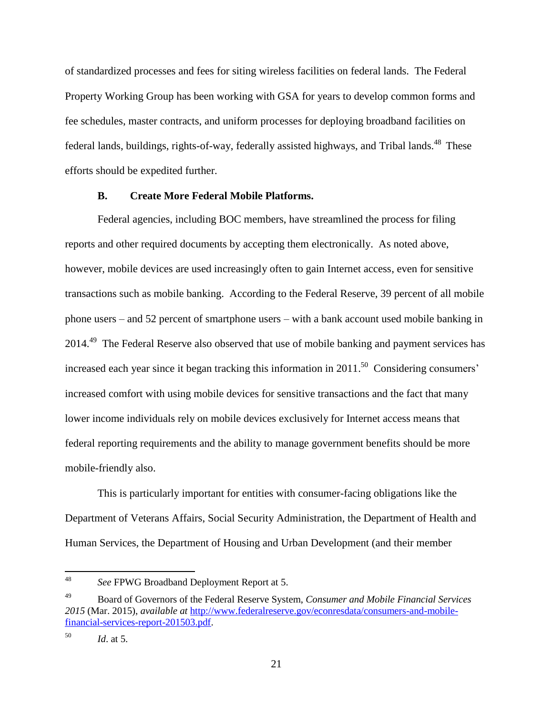of standardized processes and fees for siting wireless facilities on federal lands. The Federal Property Working Group has been working with GSA for years to develop common forms and fee schedules, master contracts, and uniform processes for deploying broadband facilities on federal lands, buildings, rights-of-way, federally assisted highways, and Tribal lands.<sup>48</sup> These efforts should be expedited further.

### **B. Create More Federal Mobile Platforms.**

<span id="page-23-0"></span>Federal agencies, including BOC members, have streamlined the process for filing reports and other required documents by accepting them electronically. As noted above, however, mobile devices are used increasingly often to gain Internet access, even for sensitive transactions such as mobile banking. According to the Federal Reserve, 39 percent of all mobile phone users – and 52 percent of smartphone users – with a bank account used mobile banking in 2014.<sup>49</sup> The Federal Reserve also observed that use of mobile banking and payment services has increased each year since it began tracking this information in 2011.<sup>50</sup> Considering consumers' increased comfort with using mobile devices for sensitive transactions and the fact that many lower income individuals rely on mobile devices exclusively for Internet access means that federal reporting requirements and the ability to manage government benefits should be more mobile-friendly also.

This is particularly important for entities with consumer-facing obligations like the Department of Veterans Affairs, Social Security Administration, the Department of Health and Human Services, the Department of Housing and Urban Development (and their member

<sup>48</sup> <sup>48</sup> *See* FPWG Broadband Deployment Report at 5.

<sup>49</sup> Board of Governors of the Federal Reserve System, *Consumer and Mobile Financial Services 2015* (Mar. 2015), *available at* [http://www.federalreserve.gov/econresdata/consumers-and-mobile](http://www.federalreserve.gov/econresdata/consumers-and-mobile-financial-services-report-201503.pdf)[financial-services-report-201503.pdf.](http://www.federalreserve.gov/econresdata/consumers-and-mobile-financial-services-report-201503.pdf)

<sup>50</sup> *Id*. at 5.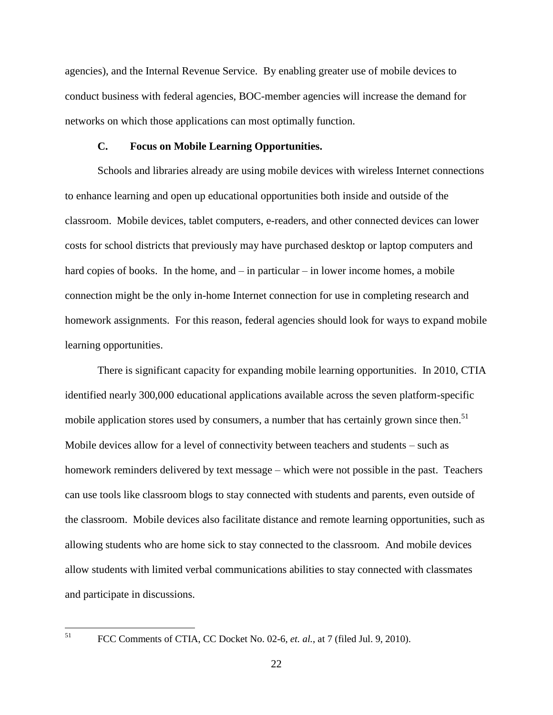agencies), and the Internal Revenue Service. By enabling greater use of mobile devices to conduct business with federal agencies, BOC-member agencies will increase the demand for networks on which those applications can most optimally function.

#### **C. Focus on Mobile Learning Opportunities.**

<span id="page-24-0"></span>Schools and libraries already are using mobile devices with wireless Internet connections to enhance learning and open up educational opportunities both inside and outside of the classroom. Mobile devices, tablet computers, e-readers, and other connected devices can lower costs for school districts that previously may have purchased desktop or laptop computers and hard copies of books. In the home, and – in particular – in lower income homes, a mobile connection might be the only in-home Internet connection for use in completing research and homework assignments. For this reason, federal agencies should look for ways to expand mobile learning opportunities.

There is significant capacity for expanding mobile learning opportunities. In 2010, CTIA identified nearly 300,000 educational applications available across the seven platform-specific mobile application stores used by consumers, a number that has certainly grown since then.<sup>51</sup> Mobile devices allow for a level of connectivity between teachers and students – such as homework reminders delivered by text message – which were not possible in the past. Teachers can use tools like classroom blogs to stay connected with students and parents, even outside of the classroom. Mobile devices also facilitate distance and remote learning opportunities, such as allowing students who are home sick to stay connected to the classroom. And mobile devices allow students with limited verbal communications abilities to stay connected with classmates and participate in discussions.

 $\overline{a}$ 

<sup>51</sup> FCC Comments of CTIA, CC Docket No. 02-6, *et. al.*, at 7 (filed Jul. 9, 2010).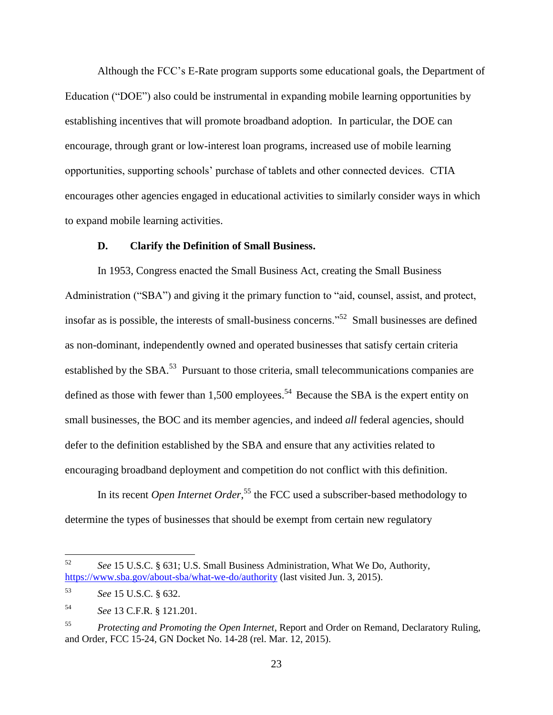Although the FCC's E-Rate program supports some educational goals, the Department of Education ("DOE") also could be instrumental in expanding mobile learning opportunities by establishing incentives that will promote broadband adoption. In particular, the DOE can encourage, through grant or low-interest loan programs, increased use of mobile learning opportunities, supporting schools' purchase of tablets and other connected devices. CTIA encourages other agencies engaged in educational activities to similarly consider ways in which to expand mobile learning activities.

### **D. Clarify the Definition of Small Business.**

<span id="page-25-0"></span>In 1953, Congress enacted the Small Business Act, creating the Small Business Administration ("SBA") and giving it the primary function to "aid, counsel, assist, and protect, insofar as is possible, the interests of small-business concerns."<sup>52</sup> Small businesses are defined as non-dominant, independently owned and operated businesses that satisfy certain criteria established by the SBA.<sup>53</sup> Pursuant to those criteria, small telecommunications companies are defined as those with fewer than 1,500 employees.<sup>54</sup> Because the SBA is the expert entity on small businesses, the BOC and its member agencies, and indeed *all* federal agencies, should defer to the definition established by the SBA and ensure that any activities related to encouraging broadband deployment and competition do not conflict with this definition.

In its recent *Open Internet Order*, <sup>55</sup> the FCC used a subscriber-based methodology to determine the types of businesses that should be exempt from certain new regulatory

<sup>52</sup> <sup>52</sup> *See* 15 U.S.C. § 631; U.S. Small Business Administration, What We Do, Authority, <https://www.sba.gov/about-sba/what-we-do/authority> (last visited Jun. 3, 2015).

<sup>53</sup> *See* 15 U.S.C. § 632.

<sup>54</sup> *See* 13 C.F.R. § 121.201.

<sup>55</sup> *Protecting and Promoting the Open Internet*, Report and Order on Remand, Declaratory Ruling, and Order, FCC 15-24, GN Docket No. 14-28 (rel. Mar. 12, 2015).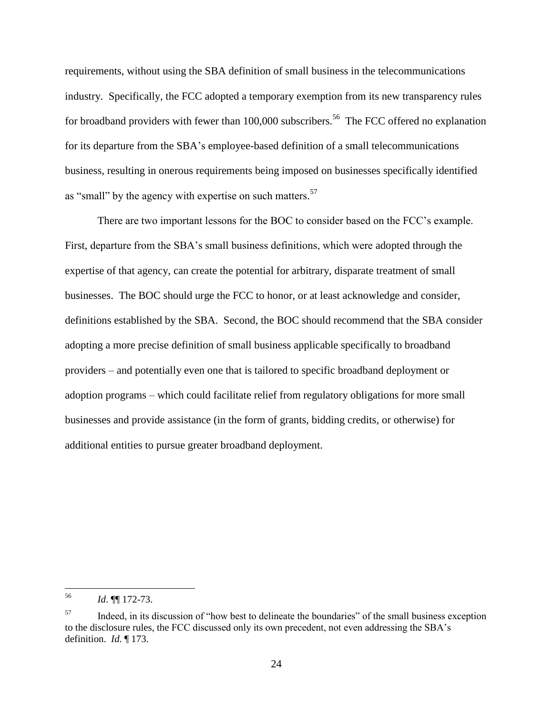requirements, without using the SBA definition of small business in the telecommunications industry. Specifically, the FCC adopted a temporary exemption from its new transparency rules for broadband providers with fewer than 100,000 subscribers.<sup>56</sup> The FCC offered no explanation for its departure from the SBA's employee-based definition of a small telecommunications business, resulting in onerous requirements being imposed on businesses specifically identified as "small" by the agency with expertise on such matters.<sup>57</sup>

There are two important lessons for the BOC to consider based on the FCC's example. First, departure from the SBA's small business definitions, which were adopted through the expertise of that agency, can create the potential for arbitrary, disparate treatment of small businesses. The BOC should urge the FCC to honor, or at least acknowledge and consider, definitions established by the SBA. Second, the BOC should recommend that the SBA consider adopting a more precise definition of small business applicable specifically to broadband providers – and potentially even one that is tailored to specific broadband deployment or adoption programs – which could facilitate relief from regulatory obligations for more small businesses and provide assistance (in the form of grants, bidding credits, or otherwise) for additional entities to pursue greater broadband deployment.

<sup>56</sup> <sup>56</sup> *Id*. ¶¶ 172-73.

<sup>&</sup>lt;sup>57</sup> Indeed, in its discussion of "how best to delineate the boundaries" of the small business exception to the disclosure rules, the FCC discussed only its own precedent, not even addressing the SBA's definition. *Id*. ¶ 173.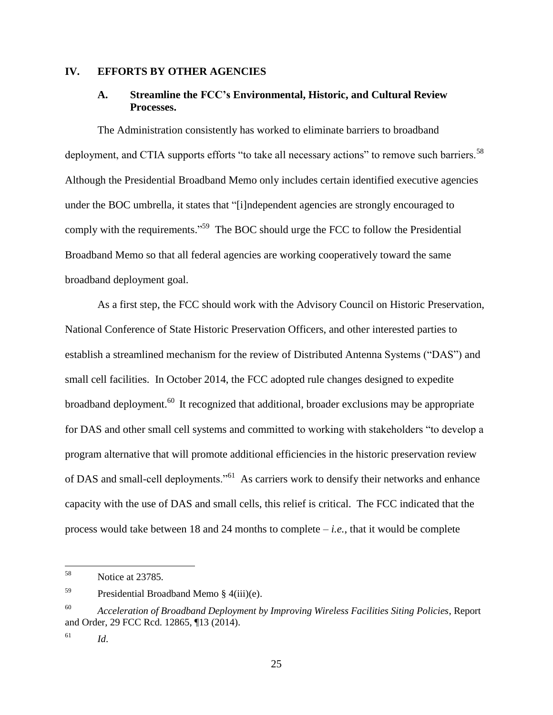### <span id="page-27-1"></span><span id="page-27-0"></span>**IV. EFFORTS BY OTHER AGENCIES**

# **A. Streamline the FCC's Environmental, Historic, and Cultural Review Processes.**

The Administration consistently has worked to eliminate barriers to broadband deployment, and CTIA supports efforts "to take all necessary actions" to remove such barriers.<sup>58</sup> Although the Presidential Broadband Memo only includes certain identified executive agencies under the BOC umbrella, it states that "[i]ndependent agencies are strongly encouraged to comply with the requirements."<sup>59</sup> The BOC should urge the FCC to follow the Presidential Broadband Memo so that all federal agencies are working cooperatively toward the same broadband deployment goal.

As a first step, the FCC should work with the Advisory Council on Historic Preservation, National Conference of State Historic Preservation Officers, and other interested parties to establish a streamlined mechanism for the review of Distributed Antenna Systems ("DAS") and small cell facilities. In October 2014, the FCC adopted rule changes designed to expedite broadband deployment.<sup>60</sup> It recognized that additional, broader exclusions may be appropriate for DAS and other small cell systems and committed to working with stakeholders "to develop a program alternative that will promote additional efficiencies in the historic preservation review of DAS and small-cell deployments."<sup>61</sup> As carriers work to densify their networks and enhance capacity with the use of DAS and small cells, this relief is critical. The FCC indicated that the process would take between 18 and 24 months to complete – *i.e.*, that it would be complete

 $\overline{a}$ 

<sup>58</sup> Notice at 23785.

 $^{59}$  Presidential Broadband Memo § 4(iii)(e).

<sup>60</sup> *Acceleration of Broadband Deployment by Improving Wireless Facilities Siting Policies*, Report and Order, 29 FCC Rcd. 12865, ¶13 (2014).

 $f^{61}$  *Id.*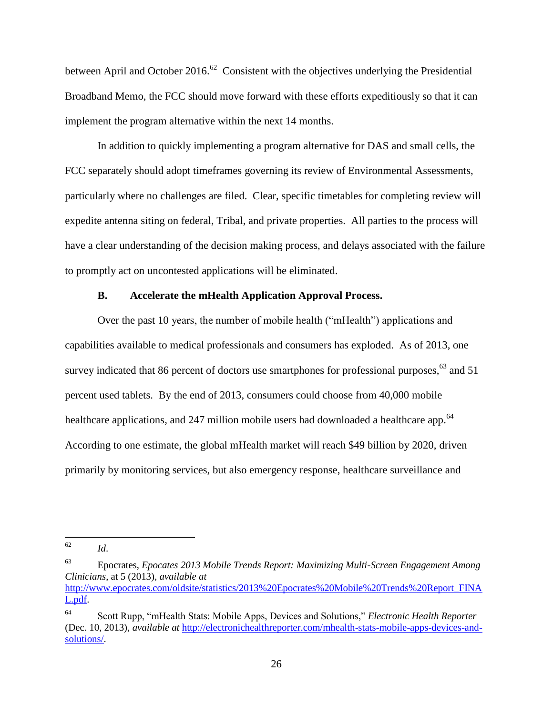between April and October 2016.<sup>62</sup> Consistent with the objectives underlying the Presidential Broadband Memo, the FCC should move forward with these efforts expeditiously so that it can implement the program alternative within the next 14 months.

In addition to quickly implementing a program alternative for DAS and small cells, the FCC separately should adopt timeframes governing its review of Environmental Assessments, particularly where no challenges are filed. Clear, specific timetables for completing review will expedite antenna siting on federal, Tribal, and private properties. All parties to the process will have a clear understanding of the decision making process, and delays associated with the failure to promptly act on uncontested applications will be eliminated.

## **B. Accelerate the mHealth Application Approval Process.**

<span id="page-28-0"></span>Over the past 10 years, the number of mobile health ("mHealth") applications and capabilities available to medical professionals and consumers has exploded. As of 2013, one survey indicated that 86 percent of doctors use smartphones for professional purposes,<sup>63</sup> and 51 percent used tablets. By the end of 2013, consumers could choose from 40,000 mobile healthcare applications, and 247 million mobile users had downloaded a healthcare app.<sup>64</sup> According to one estimate, the global mHealth market will reach \$49 billion by 2020, driven primarily by monitoring services, but also emergency response, healthcare surveillance and

<sup>62</sup> <sup>62</sup> *Id*.

<sup>63</sup> Epocrates, *Epocates 2013 Mobile Trends Report: Maximizing Multi-Screen Engagement Among Clinicians*, at 5 (2013), *available at*  [http://www.epocrates.com/oldsite/statistics/2013%20Epocrates%20Mobile%20Trends%20Report\\_FINA](http://www.epocrates.com/oldsite/statistics/2013%20Epocrates%20Mobile%20Trends%20Report_FINAL.pdf) [L.pdf.](http://www.epocrates.com/oldsite/statistics/2013%20Epocrates%20Mobile%20Trends%20Report_FINAL.pdf)

<sup>64</sup> Scott Rupp, "mHealth Stats: Mobile Apps, Devices and Solutions," *Electronic Health Reporter*  (Dec. 10, 2013), *available at* [http://electronichealthreporter.com/mhealth-stats-mobile-apps-devices-and](http://electronichealthreporter.com/mhealth-stats-mobile-apps-devices-and-solutions/)[solutions/.](http://electronichealthreporter.com/mhealth-stats-mobile-apps-devices-and-solutions/)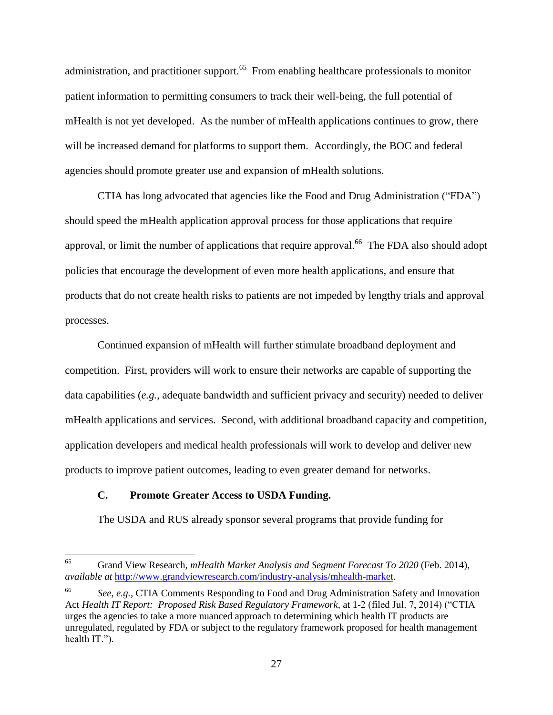administration, and practitioner support.<sup>65</sup> From enabling healthcare professionals to monitor patient information to permitting consumers to track their well-being, the full potential of mHealth is not yet developed. As the number of mHealth applications continues to grow, there will be increased demand for platforms to support them. Accordingly, the BOC and federal agencies should promote greater use and expansion of mHealth solutions.

CTIA has long advocated that agencies like the Food and Drug Administration ("FDA") should speed the mHealth application approval process for those applications that require approval, or limit the number of applications that require approval.<sup>66</sup> The FDA also should adopt policies that encourage the development of even more health applications, and ensure that products that do not create health risks to patients are not impeded by lengthy trials and approval processes.

Continued expansion of mHealth will further stimulate broadband deployment and competition. First, providers will work to ensure their networks are capable of supporting the data capabilities (*e.g.*, adequate bandwidth and sufficient privacy and security) needed to deliver mHealth applications and services. Second, with additional broadband capacity and competition, application developers and medical health professionals will work to develop and deliver new products to improve patient outcomes, leading to even greater demand for networks.

## <span id="page-29-0"></span>**C. Promote Greater Access to USDA Funding.**

 $\overline{a}$ 

The USDA and RUS already sponsor several programs that provide funding for

<sup>65</sup> Grand View Research, *mHealth Market Analysis and Segment Forecast To 2020* (Feb. 2014), *available at* [http://www.grandviewresearch.com/industry-analysis/mhealth-market.](http://www.grandviewresearch.com/industry-analysis/mhealth-market)

<sup>66</sup> *See, e.g.*, CTIA Comments Responding to Food and Drug Administration Safety and Innovation Act *Health IT Report: Proposed Risk Based Regulatory Framework*, at 1-2 (filed Jul. 7, 2014) ("CTIA urges the agencies to take a more nuanced approach to determining which health IT products are unregulated, regulated by FDA or subject to the regulatory framework proposed for health management health IT.").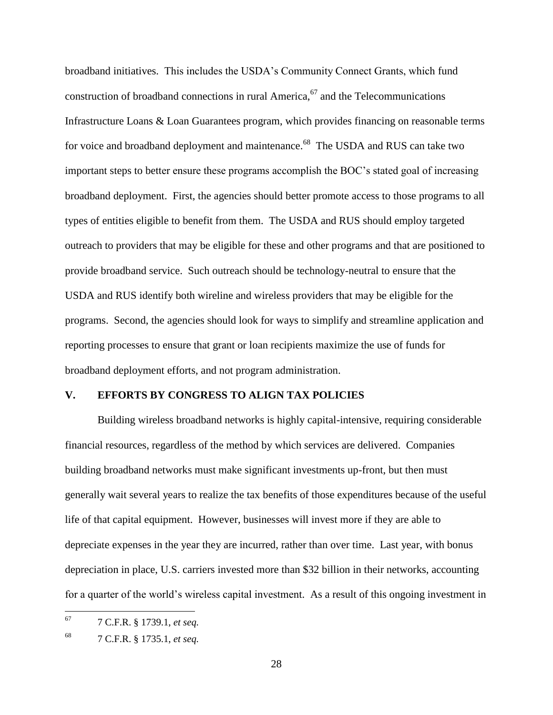broadband initiatives. This includes the USDA's Community Connect Grants, which fund construction of broadband connections in rural America, <sup>67</sup> and the Telecommunications Infrastructure Loans & Loan Guarantees program, which provides financing on reasonable terms for voice and broadband deployment and maintenance.<sup>68</sup> The USDA and RUS can take two important steps to better ensure these programs accomplish the BOC's stated goal of increasing broadband deployment. First, the agencies should better promote access to those programs to all types of entities eligible to benefit from them. The USDA and RUS should employ targeted outreach to providers that may be eligible for these and other programs and that are positioned to provide broadband service. Such outreach should be technology-neutral to ensure that the USDA and RUS identify both wireline and wireless providers that may be eligible for the programs. Second, the agencies should look for ways to simplify and streamline application and reporting processes to ensure that grant or loan recipients maximize the use of funds for broadband deployment efforts, and not program administration.

## <span id="page-30-0"></span>**V. EFFORTS BY CONGRESS TO ALIGN TAX POLICIES**

Building wireless broadband networks is highly capital-intensive, requiring considerable financial resources, regardless of the method by which services are delivered. Companies building broadband networks must make significant investments up-front, but then must generally wait several years to realize the tax benefits of those expenditures because of the useful life of that capital equipment. However, businesses will invest more if they are able to depreciate expenses in the year they are incurred, rather than over time. Last year, with bonus depreciation in place, U.S. carriers invested more than \$32 billion in their networks, accounting for a quarter of the world's wireless capital investment. As a result of this ongoing investment in

<sup>67</sup> <sup>67</sup> 7 C.F.R. § 1739.1, *et seq.*

<sup>68</sup> 7 C.F.R. § 1735.1, *et seq.*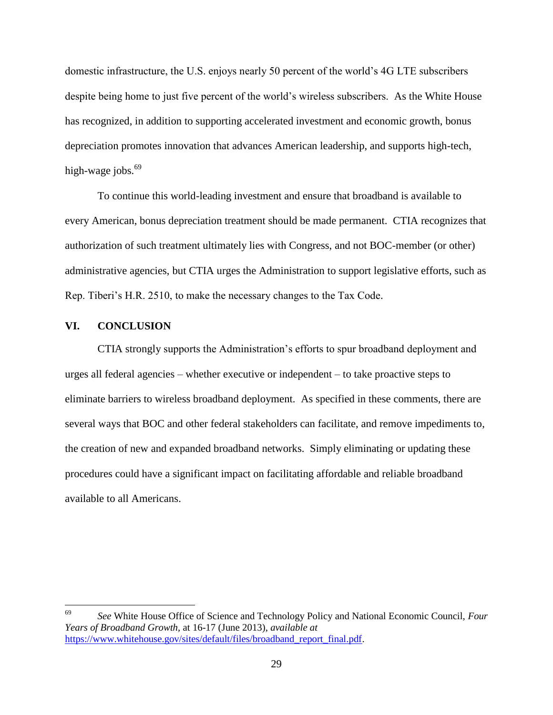domestic infrastructure, the U.S. enjoys nearly 50 percent of the world's 4G LTE subscribers despite being home to just five percent of the world's wireless subscribers. As the White House has recognized, in addition to supporting accelerated investment and economic growth, bonus depreciation promotes innovation that advances American leadership, and supports high-tech, high-wage jobs.<sup>69</sup>

To continue this world-leading investment and ensure that broadband is available to every American, bonus depreciation treatment should be made permanent. CTIA recognizes that authorization of such treatment ultimately lies with Congress, and not BOC-member (or other) administrative agencies, but CTIA urges the Administration to support legislative efforts, such as Rep. Tiberi's H.R. 2510, to make the necessary changes to the Tax Code.

## <span id="page-31-0"></span>**VI. CONCLUSION**

CTIA strongly supports the Administration's efforts to spur broadband deployment and urges all federal agencies – whether executive or independent – to take proactive steps to eliminate barriers to wireless broadband deployment. As specified in these comments, there are several ways that BOC and other federal stakeholders can facilitate, and remove impediments to, the creation of new and expanded broadband networks. Simply eliminating or updating these procedures could have a significant impact on facilitating affordable and reliable broadband available to all Americans.

<sup>69</sup> <sup>69</sup> *See* White House Office of Science and Technology Policy and National Economic Council, *Four Years of Broadband Growth*, at 16-17 (June 2013), *available at*  [https://www.whitehouse.gov/sites/default/files/broadband\\_report\\_final.pdf.](https://www.whitehouse.gov/sites/default/files/broadband_report_final.pdf)